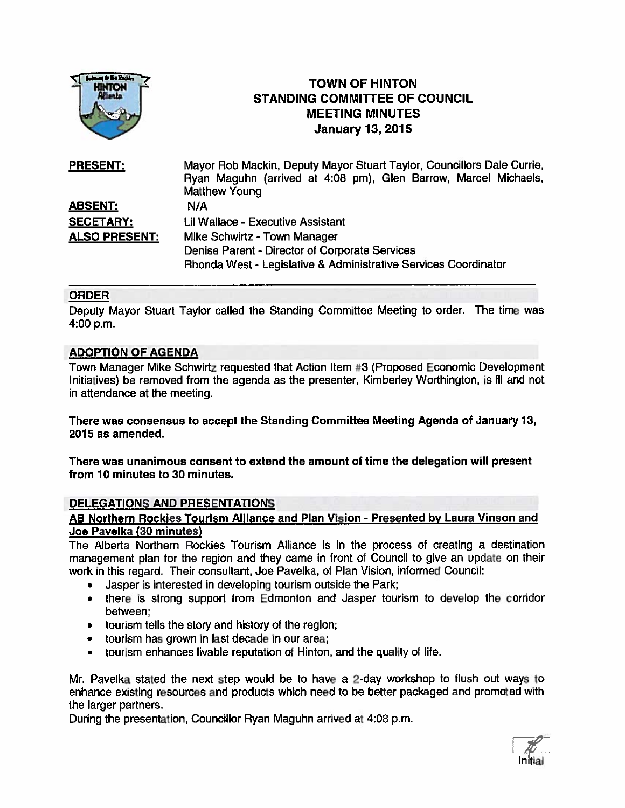

# TOWN OF HINTON STANDING COMMITTEE OF COUNCIL MEETING MINUTES TOWN OF HINTON<br>
TOWN OF HINTON<br>
TANDING COMMITTEE OF<br>
MEETING MINUTE<br>
January 13, 2015

| <b>PRESENT:</b>      | Mayor Rob Mackin, Deputy Mayor Stuart Taylor, Councillors Dale Currie, |
|----------------------|------------------------------------------------------------------------|
|                      | Ryan Maguhn (arrived at 4:08 pm), Glen Barrow, Marcel Michaels,        |
|                      | <b>Matthew Young</b>                                                   |
| <u>ABSENT:</u>       | N/A                                                                    |
| <b>SECETARY:</b>     | Lil Wallace - Executive Assistant                                      |
| <b>ALSO PRESENT:</b> | Mike Schwirtz - Town Manager                                           |
|                      | Denise Parent - Director of Corporate Services                         |
|                      | Rhonda West - Legislative & Administrative Services Coordinator        |

## ORDER

Deputy Mayor Stuart Taylor called the Standing Committee Meeting to order. The time was 4:00 p.m.

## ADOPTION OF AGENDA

Town Manager Mike Schwirtz requested that Action Item #3 (Proposed Economic Development Initiatives) be removed from the agenda as the presenter, Kimberiey Worthington, is ill and not in attendance at the meeting.

There was consensus to accep<sup>t</sup> the Standing Committee Meeting Agenda of January 13, 2015 as amended.

There was unanimous consent to extend the amount of time the delegation will presen<sup>t</sup> from 10 minutes to 30 minutes.

#### DELEGATIONS AND PRESENTATIONS

#### AB Northern Rockies Tourism Alliance and Plan Vision - Presented by Laura Vinson and Joe Pavelka (30 minutes)

The Alberta Northern Rockies Tourism Alliance is in the process of creating <sup>a</sup> destination managemen<sup>t</sup> <sup>p</sup>lan for the region and they came in front of Council to <sup>g</sup>ive an update on their work in this regard. Their consultant, Joe Pavelka, of Plan Vision, informed Council:

- •Jasper is interested in developing tourism outside the Park;
- there is strong suppor<sup>t</sup> from Edmonton and Jasper tourism to develop the corridor between;
- tourism tells the story and history of the region;
- •tourism has grown in last decade in our area;
- $\bullet$ tourism enhances livable reputation of Hinton, and the quality of life.

Mr. Pavelka stated the next step would be to have a 2-day workshop to flush out ways to enhance existing resources and products which need to be better packaged and promoted with the larger partners.

During the presentation, Councillor Ryan Maguhn arrived at 4:08 p.m.

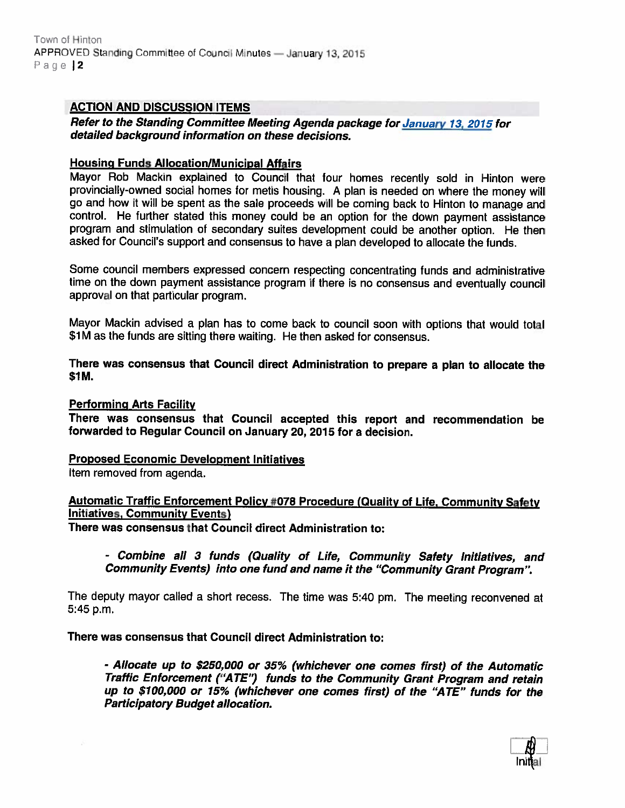## ACTION AND DISCUSSION ITEMS

Refer to the Standing Committee Meeting Agenda package for January 13, <sup>2015</sup> for detailed background information on these decisions.

#### Housing Funds Allocation/Municipal Affairs

Mayor Rob Mackin explained to Council that tour homes recently sold in Hinton were provincially-owned social homes for metis housing. <sup>A</sup> <sup>p</sup>lan is needed on where the money will go and how it will be spen<sup>t</sup> as the sale proceeds will be coming back to Hinton to manage and control. He further stated this money could be an option for the down paymen<sup>t</sup> assistance program and stimulation of secondary suites development could be another option. He then asked for Council's suppor<sup>t</sup> and consensus to have <sup>a</sup> <sup>p</sup>lan developed to allocate the funds.

Some council members expressed concern respecting concentrating funds and administrative time on the down paymen<sup>t</sup> assistance program if there is no consensus and eventually council approval on that particular program.

Mayor Mackin advised <sup>a</sup> <sup>p</sup>lan has to come back to council soon with options that would total \$1M as the funds are sitting there waiting. He then asked for consensus.

#### There was consensus that Council direct Administration to prepare <sup>a</sup> <sup>p</sup>lan to allocate the \$1M.

#### Performing Arts Facility

There was consensus that Council accepted this repor<sup>t</sup> and recommendation be forwarded to Regular Council on January 20, 2015 for <sup>a</sup> decision.

#### Proposed Economic Development Initiatives

Item removed from agenda.

## Automatic Traffic Enforcement Policy #078 Procedure (Quality of Life, Community Safety Initiatives, Community Events)

There was consensus that Council direct Administration to:

- Combine all <sup>3</sup> funds (Quality of Life, Community Safety Initiatives, and Community Events) into one fund and name it the "Community Grant Program".

The deputy mayor called <sup>a</sup> short recess. The time was 5:40 pm. The meeting reconvened at 5:45 p.m.

There was consensus that Council direct Administration to:

- Allocate up to \$250,000 or 35% (whichever one comes first) of the Automatic Traffic Enforcement ("ATE") funds to the Community Grant Program and retain up to \$100,000 or 15% (whichever one comes first) of the "ATE" funds for the Participatory Budget allocation.

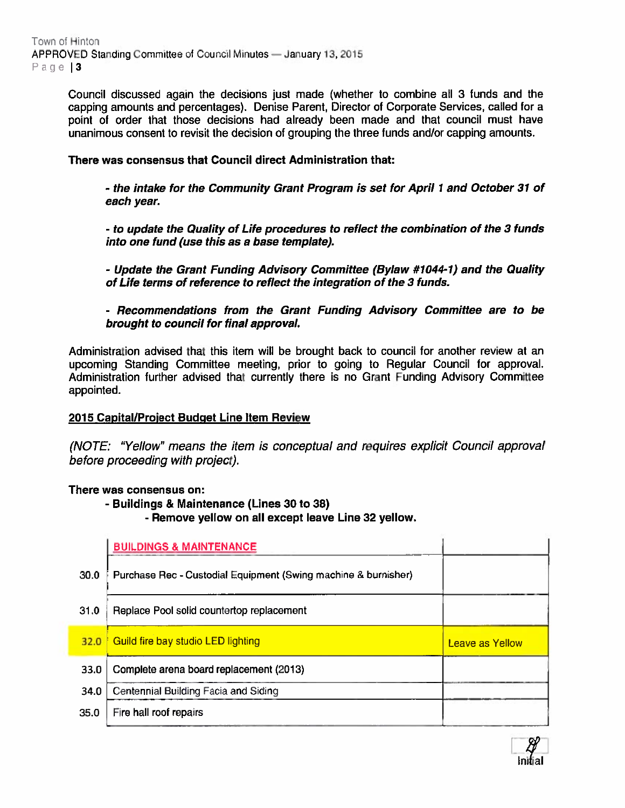Council discussed again the decisions just made (whether to combine all 3 funds and the capping amounts and percentages). Denise Parent, Director of Corporate Services, called for <sup>a</sup> point of order that those decisions had already been made and that council must have unanimous consent to revisit the decision of grouping the three funds and/or capping amounts.

## There was consensus that Council direct Administration that:

- the intake for the Community Grant Program is set for April 1 and October31 of each year.

- to update the Quality of Life procedures to reflect the combination of the 3 funds into one fund (use this as <sup>a</sup> base template).

- Update the Grant Funding Advisory Committee (Bylaw #1044-1) and the Quality of Life terms of reference to reflect the integration of the 3 funds.

- Recommendations from the Grant Funding Advisory Committee are to be brought to council for final approval.

Administration advised that this item will be brought back to council for another review at an upcoming Standing Committee meeting, prior to going to Regular Council for approval. Administration further advised that currently there is no Grant Funding Advisory Committee appointed.

## 2015 Capital/Project Budget Line Item Review

(NOTE: "Yellow" means the item is conceptual and requires explicit Council approval before proceeding with project).

## There was consensus on:

- Buildings & Maintenance (Lines 30 to 38) - Remove yellow on all excep<sup>t</sup> leave Line 32 yellow.

|      | <b>BUILDINGS &amp; MAINTENANCE</b>                             |                        |
|------|----------------------------------------------------------------|------------------------|
| 30.0 | Purchase Rec - Custodial Equipment (Swing machine & burnisher) |                        |
| 31.0 | Replace Pool solid countertop replacement                      |                        |
| 32.0 | Guild fire bay studio LED lighting                             | <b>Leave as Yellow</b> |
| 33.0 | Complete arena board replacement (2013)                        |                        |
| 34.0 | Centennial Building Facia and Siding                           |                        |
| 35.0 | Fire hall roof repairs                                         |                        |

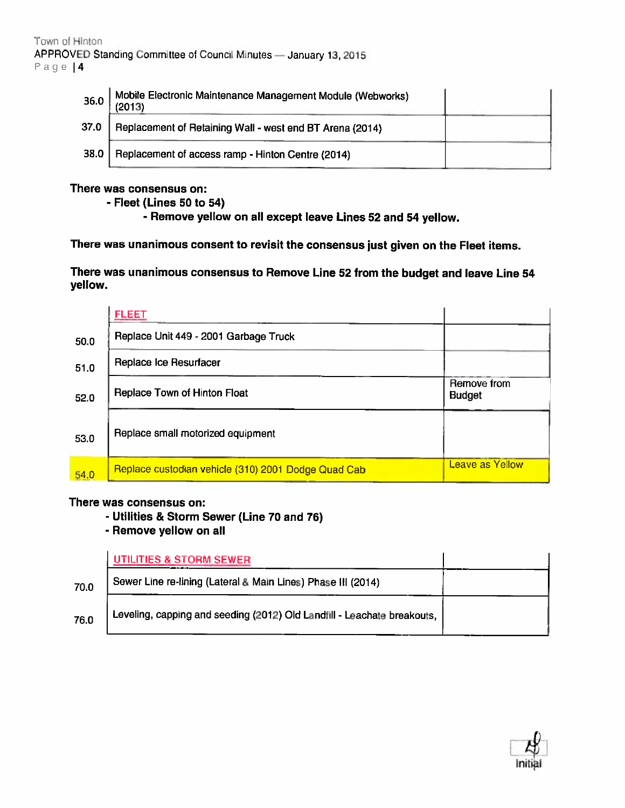| Hinton |                                                                                                                   |  |
|--------|-------------------------------------------------------------------------------------------------------------------|--|
| 4      | ED Standing Committee of Council Minutes - January 13, 2015                                                       |  |
| 36.0   | Mobile Electronic Maintenance Management Module (Webworks)<br>(2013)                                              |  |
| 37.0   | Replacement of Retaining Wall - west end BT Arena (2014)                                                          |  |
| 38.0   | Replacement of access ramp - Hinton Centre (2014)                                                                 |  |
|        | here was consensus on:<br>- Fleet (Lines 50 to 54)<br>- Remove yellow on all except leave Lines 52 and 54 yellow. |  |
|        | here was unanimous consent to revisit the consensus just given on the Fleet items.                                |  |
| ellow. | here was unanimous consensus to Remove Line 52 from the budget and leave Line 54                                  |  |
|        | <b>FLEET</b>                                                                                                      |  |
| 50.0   | Replace Unit 449 - 2001 Garbage Truck                                                                             |  |

## There was consensus on:

| Page $4$ | APPROVED Standing Committee of Council Minutes - January 13, 2015                                                                                                                                                                       |                              |
|----------|-----------------------------------------------------------------------------------------------------------------------------------------------------------------------------------------------------------------------------------------|------------------------------|
| 36.0     | Mobile Electronic Maintenance Management Module (Webworks)<br>(2013)                                                                                                                                                                    |                              |
| 37.0     | Replacement of Retaining Wall - west end BT Arena (2014)                                                                                                                                                                                |                              |
| 38.0     | Replacement of access ramp - Hinton Centre (2014)                                                                                                                                                                                       |                              |
|          | - Remove yellow on all except leave Lines 52 and 54 yellow.<br>There was unanimous consent to revisit the consensus just given on the Fleet items.<br>There was unanimous consensus to Remove Line 52 from the budget and leave Line 54 |                              |
| yellow.  | <b>FLEET</b>                                                                                                                                                                                                                            |                              |
| 50.0     | Replace Unit 449 - 2001 Garbage Truck                                                                                                                                                                                                   |                              |
| 51.0     | Replace Ice Resurfacer                                                                                                                                                                                                                  |                              |
| 52.0     | Replace Town of Hinton Float                                                                                                                                                                                                            | Remove from<br><b>Budget</b> |
| 53.0     | Replace small motorized equipment                                                                                                                                                                                                       |                              |

## There was consensus on:

- Utilities & Storm Sewer (Line 70 and 76)
- Remove yellow on all

|      | <b>UTILITIES &amp; STORM SEWER</b>                                      |
|------|-------------------------------------------------------------------------|
| 70.0 | Sewer Line re-lining (Lateral & Main Lines) Phase III (2014)            |
| 76.0 | Leveling, capping and seeding (2012) Old Landfill - Leachate breakouts, |

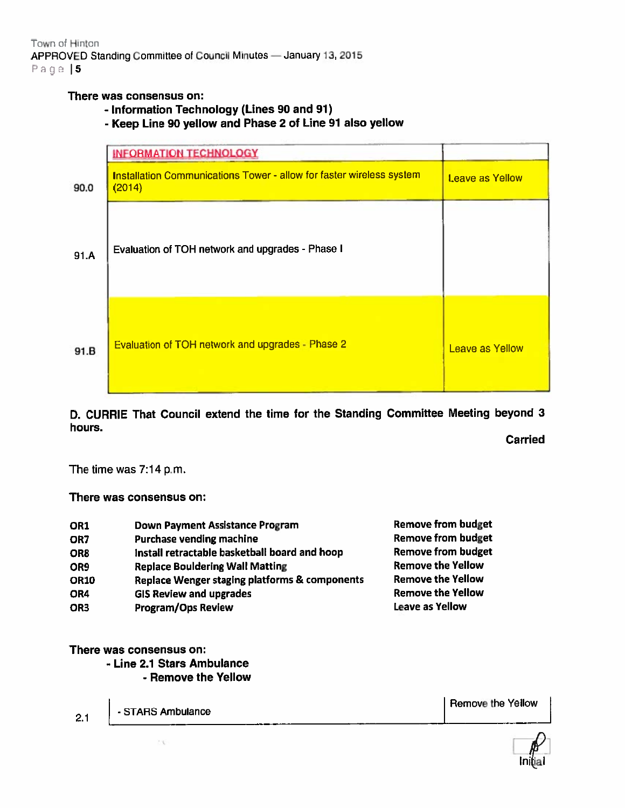Town of Hinton APPROVED Standing Committee of Council Minutes — January 13, <sup>2015</sup> Page | 5

## There was consensus on:

- Information Technology (Lines 90 and 91)
- Keep Line <sup>90</sup> yellow and Phase <sup>2</sup> of Line <sup>91</sup> also yellow

|      | <b>INFORMATION TECHNOLOGY</b>                                                  |                        |
|------|--------------------------------------------------------------------------------|------------------------|
| 90.0 | Installation Communications Tower - allow for faster wireless system<br>(2014) | <b>Leave as Yellow</b> |
| 91.A | Evaluation of TOH network and upgrades - Phase I                               |                        |
| 91.B | Evaluation of TOH network and upgrades - Phase 2                               | Leave as Yellow        |

D. CURRIE That Council extend the time for the Standing Committee Meeting beyond <sup>3</sup> hours.

Carried

The time was 7:14 p.m.

There was consensus on:

| OR1             | Down Payment Assistance Program               | <b>Remove from budget</b> |
|-----------------|-----------------------------------------------|---------------------------|
| OR7             | Purchase vending machine                      | <b>Remove from budget</b> |
| OR <sub>8</sub> | Install retractable basketball board and hoop | <b>Remove from budget</b> |
| OR9             | <b>Replace Bouldering Wall Matting</b>        | <b>Remove the Yellow</b>  |
| <b>OR10</b>     | Replace Wenger staging platforms & components | <b>Remove the Yellow</b>  |
| OR4             | <b>GIS Review and upgrades</b>                | <b>Remove the Yellow</b>  |
| OR <sub>3</sub> | <b>Program/Ops Review</b>                     | Leave as Yellow           |
|                 |                                               |                           |

There was consensus on:

- Line 2.1 Stars Ambulance

- Remove the Yellow

Remove the Yellow2.1  $\Big|$  - STARS Ambulance 330

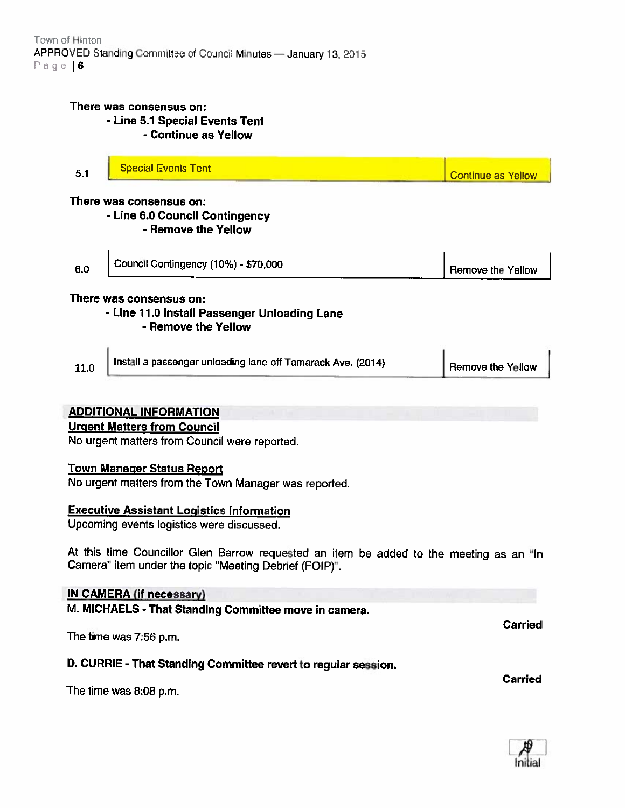## There was consensus on: - Line 5.1 Special Events Tent - Continue as Yellow

| E. | Special Events Tent |                           |
|----|---------------------|---------------------------|
|    |                     | <b>Continue as Yellow</b> |

There was consensus on:

 $\mathbf{r}$ 

 $\mathbf{r}$ 

- Line 6.0 Council Contingency

- Remove the Yellow

| 6.0 | Council Contingency (10%) - \$70,000 | Remove the Yellow |
|-----|--------------------------------------|-------------------|
|-----|--------------------------------------|-------------------|

# There was consensus on:

## - Line 11.0 Install Passenger Unloading Lane

- Remove the Yellow

# ADDITIONAL INFORMATION

# Urgent Matters from Council

No urgent matters from Council were reported

## Town Manager Status Report

No urgent matters from the Town Manager was reported.

## Executive Assistant Logistics Information

Upcoming events logistics were discussed.

At this time Councillor Glen Barrow requested an item be added to the meeting as an "In Camera" item under the topic "Meeting Debrief (FOIP)'.

## IN CAMERA (if necessary)

M. MICHAELS - That Standing Committee move in camera.

The time was 7:56 p.m.

## D. CURRIE - That Standing Committee revert to regular session.

The time was 8:08 p.m.



**Carried** 

Carried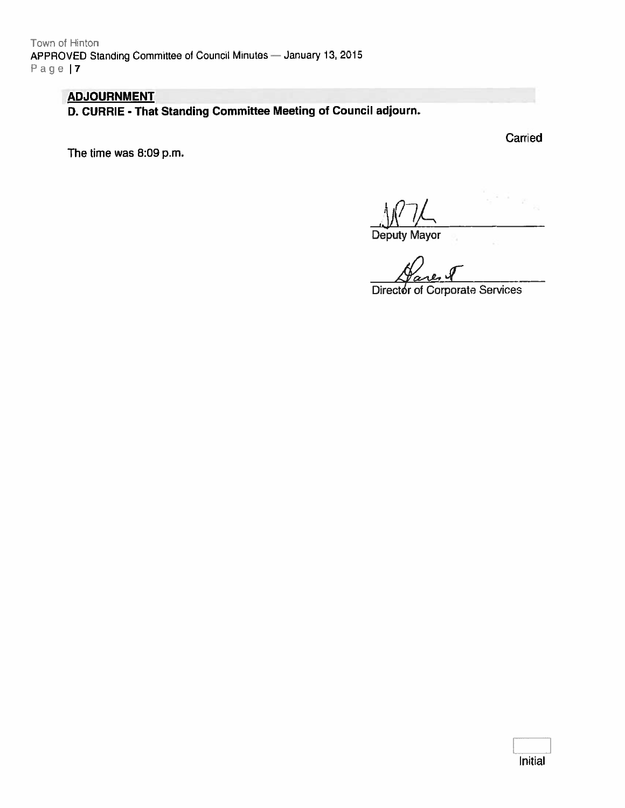Town of Hinton APPROVED Standing Committee of Council Minutes - January 13, 2015 Page I

# ADJOURNMENT

D. CURRIE - That Standing Committee Meeting of Council adjourn.

The time was 8:09 p.m.

**Carried** 

Deputy Mayor

Director of Corporate Services